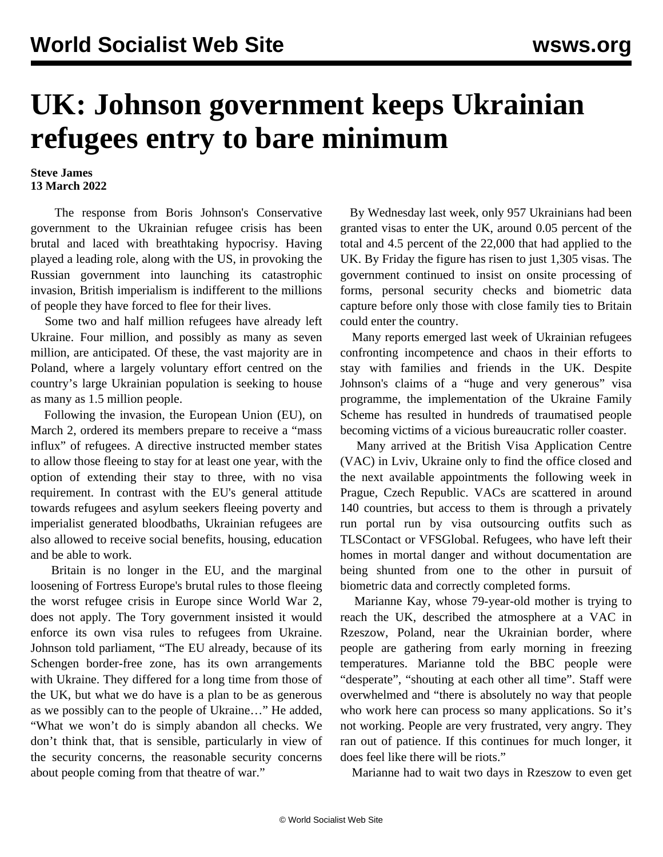## **UK: Johnson government keeps Ukrainian refugees entry to bare minimum**

## **Steve James 13 March 2022**

 The response from Boris Johnson's Conservative government to the Ukrainian refugee crisis has been brutal and laced with breathtaking hypocrisy. Having played a leading role, along with the US, in provoking the Russian government into launching its catastrophic invasion, British imperialism is indifferent to the millions of people they have forced to flee for their lives.

 Some two and half million refugees have already left Ukraine. Four million, and possibly as many as seven million, are anticipated. Of these, the vast majority are in Poland, where a largely voluntary effort centred on the country's large Ukrainian population is seeking to house as many as 1.5 million people.

 Following the invasion, the European Union (EU), on March 2, ordered its members prepare to receive a "mass" influx" of refugees. A directive instructed member states to allow those fleeing to stay for at least one year, with the option of extending their stay to three, with no visa requirement. In contrast with the EU's general attitude towards refugees and asylum seekers fleeing poverty and imperialist generated bloodbaths, Ukrainian refugees are also allowed to receive social benefits, housing, education and be able to work.

 Britain is no longer in the EU, and the marginal loosening of Fortress Europe's brutal rules to those fleeing the worst refugee crisis in Europe since World War 2, does not apply. The Tory government insisted it would enforce its own visa rules to refugees from Ukraine. Johnson told parliament, "The EU already, because of its Schengen border-free zone, has its own arrangements with Ukraine. They differed for a long time from those of the UK, but what we do have is a plan to be as generous as we possibly can to the people of Ukraine…" He added, "What we won't do is simply abandon all checks. We don't think that, that is sensible, particularly in view of the security concerns, the reasonable security concerns about people coming from that theatre of war."

 By Wednesday last week, only 957 Ukrainians had been granted visas to enter the UK, around 0.05 percent of the total and 4.5 percent of the 22,000 that had applied to the UK. By Friday the figure has risen to just 1,305 visas. The government continued to insist on onsite processing of forms, personal security checks and biometric data capture before only those with close family ties to Britain could enter the country.

 Many reports emerged last week of Ukrainian refugees confronting incompetence and chaos in their efforts to stay with families and friends in the UK. Despite Johnson's claims of a "huge and very generous" visa programme, the implementation of the Ukraine Family Scheme has resulted in hundreds of traumatised people becoming victims of a vicious bureaucratic roller coaster.

 Many arrived at the British Visa Application Centre (VAC) in Lviv, Ukraine only to find the office closed and the next available appointments the following week in Prague, Czech Republic. VACs are scattered in around 140 countries, but access to them is through a privately run portal run by visa outsourcing outfits such as TLSContact or VFSGlobal. Refugees, who have left their homes in mortal danger and without documentation are being shunted from one to the other in pursuit of biometric data and correctly completed forms.

 Marianne Kay, whose 79-year-old mother is trying to reach the UK, described the atmosphere at a VAC in Rzeszow, Poland, near the Ukrainian border, where people are gathering from early morning in freezing temperatures. Marianne told the BBC people were "desperate", "shouting at each other all time". Staff were overwhelmed and "there is absolutely no way that people who work here can process so many applications. So it's not working. People are very frustrated, very angry. They ran out of patience. If this continues for much longer, it does feel like there will be riots."

Marianne had to wait two days in Rzeszow to even get